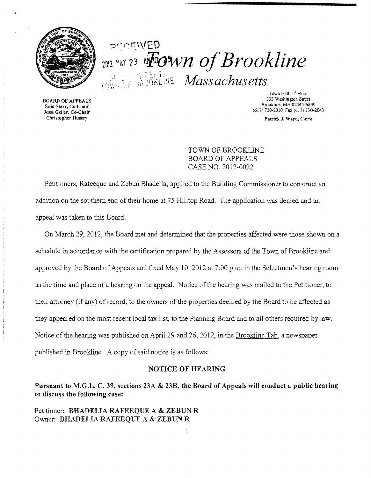

# pcncivED 7012 MAY 23 Mown of Brookline **EXAMPLE OF DEFITINE** *Massachusetts*

Christopher Hussey Patrick J. Ward, Clerk

Town Hall, 1st Floor **333 Washington Street BOARD OF APPEALS** 333 Washington Street Brookline, MA 02445-6899<br>
Brookline, MA 02445-6899<br>
Jesse Geller, Co-Chair<br>
(617) 730-2010 Fax (617) 730-2 (617) 730-2010 Fax (617) 730-2043

TOWN OF BROOKLINE BOARD OF APPEALS CASE NO. 2012-0022

Petitioners, Rafeeque and Zebun Bhadelia, applied to the Building Commissioner to construct an addition on the southern end of their home at 75 Hilltop Road. The application was denied and an appeal was taken to tbis Board.

On March 29, 2012, the Board met and determined that the properties affected were those shown on a schedule in accordance with the certification prepared by the Assessors of the Town of Brookline and approved by the Board of Appeals and fixed May 10,2012 at 7:00 p.m. in the Selectmen's hearing room as the time and place of a hearing on the appeal. Notice of the hearing was mailed to the Petitioner, to their attorney (if any) of record, to the owners of the properties deemed by the Board to be affected as they appeared on the most recent local tax list, to the Planning Board and to all others required by law. Notice of the hearing was published on April 29 and 26, 2012, in the Brookline Tab, a newspaper published in Brookline. A copy of said notice is as follows:

#### NOTICE OF HEARING

Pursuant to M.G.L. C. 39, sections 23A & 23B, the Board of Appeals will conduct a public hearing to discuss the following case:

### Petitioner: BHADELIA RAFEEQUE A & ZEBUN R Owner: BHADELIA RAFEEQUE A & ZEBUN R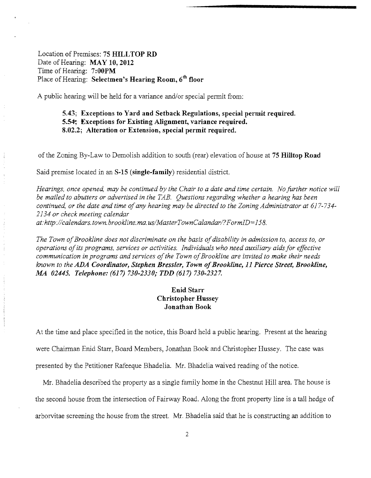Location of Premises: **75 HILLTOP RD** Date of Hearing: **MAY 10, 2012** Time of Hearing: **7:00PM** Place of Hearing: **Selectmen's Hearing Room, 6th floor** 

A public hearing will be held for a variance and/or special permit from:

# **5.43; Exceptions to Yard and Setback Regulations, special permit required.**  5.54. **Exceptions for Existing Alignment, variance required. 8.02.2; Alteration or Extension, special permit required.**

of the Zoning By-Law to Demolish addition to south (rear) elevation of house at **75 Hilltop Road** 

Said premise located in an **S-15 (single-family)** residential district.

*Hearings, once opened, may be continued by the Chair to a date and time certain. No further notice will be mailed to abutters or advertised in the TAB. Questions regarding whether a hearing has been continued, or the date and time ofany hearing may be directed to the Zoning Administrator at* 617-734 *2134 or check meeting calendar at:http://calendars.town.brookline. rna. uslMasterTownCalandarl?FormID*=158.

The Town of Brookline does not discriminate on the basis of disability in admission to, access to, or *operations ofits programs, services or activities. Individuals who need auxiliary aidsfor effective*  communication in programs and services of the Town of Brookline are invited to make their needs *known to the ADA Coordinator, Stephen Bressler, Town ofBrookline,* **11** *Pierce Street, Brookline, MA 02445. Telephone:* **(617)** *730-2330; TDD* **(617)** *730-2327.* 

# **Enid Starr Christopher Hussey Jonathan Book**

At the time and place specified in the notice, this Board held a public hearing. Present at the hearing were Chairman Enid Starr, Board Members, Jonathan Book and Christopher Hussey. The case was presented by the Petitioner Rafeeque Bhadelia. Mr. Bhadelia waived reading of the notice.

Mr. Bhadelia described the property as a single family home in the Chestnut Hill area. The house is the second house from the intersection of Fairway Road. Along the front property line is a tall hedge of arborvitae screening the house from the street. Mr. Bhadelia said that he is constructing an addition to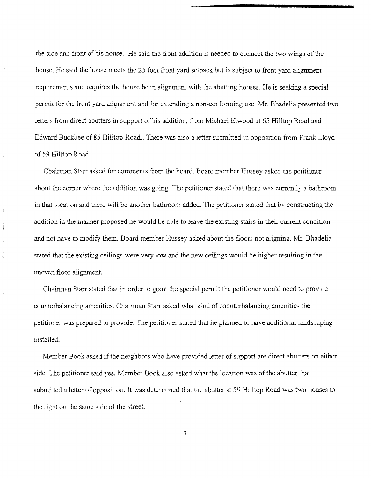the side and front of his house. He said the front addition is needed to connect the two wings of the house. He said the house meets the *2S* foot front yard setback but is subject to front yard alignment requirements and requires the house be in alignment with the abutting houses. He is seeking a special permit for the front yard alignment and for extending a non-conforming use. Mr. Bhadelia presented two letters from direct abutters in support of his addition, from Michael Elwood at 65 Hilltop Road and Edward Buckbee of *8S* Hilltop Road.. There was also a letter submitted in opposition from Frank Lloyd of *S9* Hilltop Road.

Chairman Starr asked for comments from the board. Board member Hussey asked the petitioner about the comer where the addition was going. The petitioner stated that there was currently a bathroom in that location and there will be another bathroom added. The petitioner stated that by constructing the addition in the manner proposed he would be able to leave the existing stairs in their current condition and not have to modify them. Board member Hussey asked about the floors not aligning. Mr. Bhadelia stated that the existing ceilings were very low and the new ceilings would be higher resulting in the uneven floor alignment.

Chainnan Starr stated that in order to grant the special permit the petitioner would need to provide counterbalancing amenities. Chairman Starr asked what kind of counterbalancing amenities the petitioner was prepared to provide. The petitioner stated that he planned to have additional landscaping installed.

Member Book asked if the neighbors who have provided letter of support are direct abutters on either side. The petitioner said yes. Member Book also asked what the location was of the abutter that submitted a letter of opposition. It was determined that the abutter at *S9* Hilltop Road was two houses to the right on the same side of the street.

3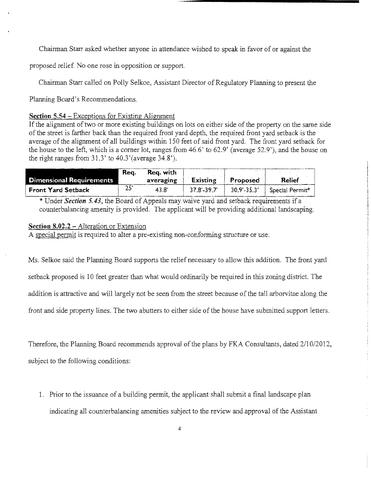Chairman Starr asked whether anyone in attendance wished to speak in favor of or against the

proposed relief. No one rose in opposition or support.

Chairman Starr called on Polly Selkoe, Assistant Director of Regulatory Planning to present the

Planning Board's Recommendations.

#### **Section 5.54** - Exceptions for Existing Alignment

If the alignment of two or more existing buildings on lots on either side of the property on the same side of the street is farther back than the required front yard depth, the required front yard setback is the average of the alignment of all buildings within 150 feet of said front yard. The front yard setback for the house to the left, which is a corner lot, ranges from 46.6' to 62.9' (average 52.9'), and the house on the right ranges from 31.3' to 40.3'(average 34.8').

|                                 | Rea. | Reg. with |                 |             |                 |
|---------------------------------|------|-----------|-----------------|-------------|-----------------|
| <b>Dimensional Requirements</b> |      | averaging | <b>Existing</b> | Proposed    | <b>Relief</b>   |
| <b>Front Yard Setback</b>       | 25   | 43.8'     | 37.8'-39.7'     | 30.9'-35.3' | Special Permit* |

\* Under *Section 5.43*, the Board of Appeals may waive yard and setback requirements if a counterbalancing amenity is provided. The applicant will be providing additional landscaping.

#### **Section 8.02.2 -** Alteration or Extension

A special pennit is required to alter a pre~existing non-conforming structure or use.

Ms. Selkoe said the Planning Board supports the relief necessary to allow this addition. The front yard setback proposed is 10 feet greater than what would ordinarily be required in this zoning district. The addition is attractive and will largely not be seen from the street because of the tall arborvitae along the front and side property lines. The two abutters to either side of the house have submitted support letters.

Therefore, the Planning Board recommends approval of the plans by FKA Consultants, dated  $2/10/2012$ , subject to the following conditions:

1. Prior to the issuance of a building permit, the applicant shall submit a final landscape plan indicating all counterbalancing amenities subject to the review and approval of the Assistant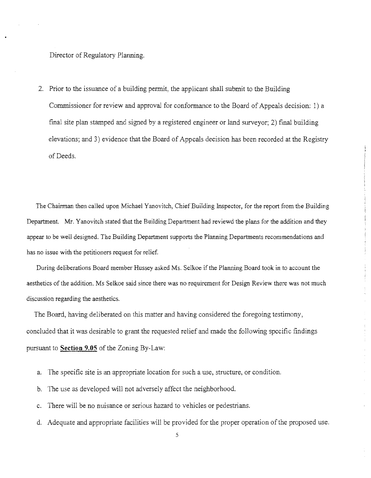Director of Regulatory Planning.

2. Prior to the issuance of a building permit, the applicant shall submit to the Building Commissioner for review and approval for conformance to the Board of Appeals decision: 1) a final site plan stamped and signed by a registered engineer or land surveyor; 2) final building elevations; and 3) evidence that the Board of Appeals decision has been recorded at the Registry of Deeds.

The Chainnan then called upon Michael Yanovitch, Chief Building Inspector, for the report from the Building Department. Mr. Yanovitch stated that the Building Department had reviewd the plans for the addition and they appear to be well designed. The Building Department supports the Planning Departments recommendations and has no issue with the petitioners request for relief.

During deliberations Board member Hussey asked Ms. Selkoe if the Planning Board took in to account the aesthetics of the addition. Ms Selkoe said since there was no requirement for Design Review there was not much discussion regarding the aesthetics.

 $\bar{\bar{z}}$ 

The Board, having deliberated on this matter and having considered the foregoing testimony, concluded that it was desirable to grant the requested relief and made the following specific findings pursuant to **Section 9.05** of the Zoning By-Law:

- a. The specific site is an appropriate location for such a use, structure, or condition.
- b. The use as developed will not adversely affect the neighborhood.
- c. There will be no nuisance or serious hazard to vehicles or pedestrians.
- d. Adequate and appropriate facilities will be provided for the proper operation of the proposed use.